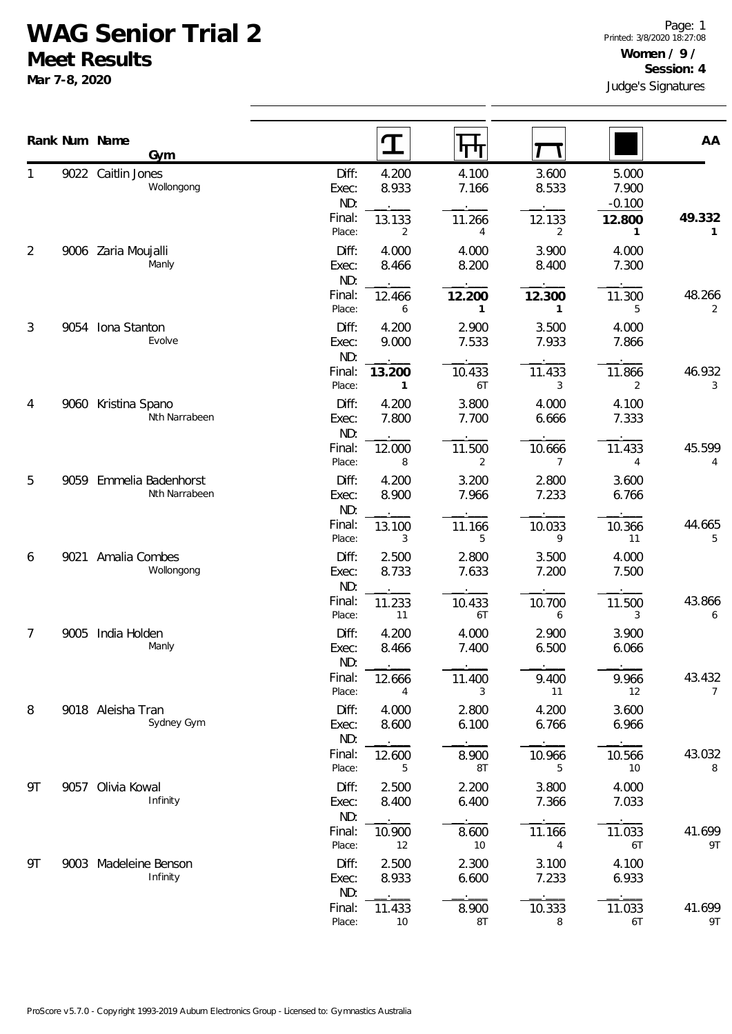## **WAG Senior Trial 2**

**Meet Results**

**Mar 7-8, 2020**

|    |      | Rank Num Name<br>Gym                 |                       | T                      | पा                       |                        |                            | AA           |
|----|------|--------------------------------------|-----------------------|------------------------|--------------------------|------------------------|----------------------------|--------------|
|    |      | 9022 Caitlin Jones<br>Wollongong     | Diff:<br>Exec:<br>ND: | 4.200<br>8.933         | 4.100<br>7.166           | 3.600<br>8.533         | 5.000<br>7.900<br>$-0.100$ |              |
|    |      |                                      | Final:<br>Place:      | 13.133<br>2            | 11.266<br>$\overline{4}$ | 12.133<br>2            | 12.800<br>1                | 49.332<br>1  |
| 2  |      | 9006 Zaria Moujalli<br>Manly         | Diff:<br>Exec:<br>ND: | 4.000<br>8.466         | 4.000<br>8.200           | 3.900<br>8.400         | 4.000<br>7.300             |              |
|    |      |                                      | Final:<br>Place:      | 12.466<br>6            | 12.200<br>1              | 12.300<br>$\mathbf{1}$ | 11.300<br>5                | 48.266<br>2  |
| 3  | 9054 | Iona Stanton<br>Evolve               | Diff:<br>Exec:<br>ND: | 4.200<br>9.000         | 2.900<br>7.533           | 3.500<br>7.933         | 4.000<br>7.866             |              |
|    |      |                                      | Final:<br>Place:      | 13.200<br>$\mathbf{1}$ | 10.433<br>6T             | 11.433<br>3            | 11.866<br>2                | 46.932<br>3  |
| 4  |      | 9060 Kristina Spano<br>Nth Narrabeen | Diff:<br>Exec:<br>ND: | 4.200<br>7.800         | 3.800<br>7.700           | 4.000<br>6.666         | 4.100<br>7.333             |              |
|    |      |                                      | Final:<br>Place:      | 12.000<br>8            | 11.500<br>2              | 10.666<br>7            | 11.433<br>4                | 45.599<br>4  |
| 5  | 9059 | Emmelia Badenhorst<br>Nth Narrabeen  | Diff:<br>Exec:<br>ND: | 4.200<br>8.900         | 3.200<br>7.966           | 2.800<br>7.233         | 3.600<br>6.766             |              |
|    |      |                                      | Final:<br>Place:      | 13.100<br>3            | 11.166<br>5              | 10.033<br>9            | 10.366<br>11               | 44.665<br>5  |
| 6  | 9021 | Amalia Combes<br>Wollongong          | Diff:<br>Exec:<br>ND: | 2.500<br>8.733         | 2.800<br>7.633           | 3.500<br>7.200         | 4.000<br>7.500             |              |
|    |      |                                      | Final:<br>Place:      | 11.233<br>11           | 10.433<br>6T             | 10.700<br>6            | 11.500<br>3                | 43.866<br>6  |
| 7  | 9005 | India Holden<br>Manly                | Diff:<br>Exec:<br>ND: | 4.200<br>8.466         | 4.000<br>7.400           | 2.900<br>6.500         | 3.900<br>6.066             |              |
|    |      |                                      | Final:<br>Place:      | 12.666<br>4            | 11.400<br>3              | 9.400<br>11            | 9.966<br>12                | 43.432<br>7  |
| 8  |      | 9018 Aleisha Tran<br>Sydney Gym      | Diff:<br>Exec:<br>ND: | 4.000<br>8.600         | 2.800<br>6.100           | 4.200<br>6.766         | 3.600<br>6.966             |              |
|    |      |                                      | Final:<br>Place:      | 12.600<br>5            | 8.900<br>8T              | 10.966<br>5            | 10.566<br>10               | 43.032<br>8  |
| 9T |      | 9057 Olivia Kowal<br>Infinity        | Diff:<br>Exec:<br>ND: | 2.500<br>8.400         | 2.200<br>6.400           | 3.800<br>7.366         | 4.000<br>7.033             |              |
|    |      |                                      | Final:<br>Place:      | 10.900<br>12           | 8.600<br>10              | 11.166<br>4            | 11.033<br>6T               | 41.699<br>9T |
| 9T |      | 9003 Madeleine Benson<br>Infinity    | Diff:<br>Exec:<br>ND: | 2.500<br>8.933         | 2.300<br>6.600           | 3.100<br>7.233         | 4.100<br>6.933             |              |
|    |      |                                      | Final:<br>Place:      | 11.433<br>10           | 8.900<br>8T              | 10.333<br>8            | 11.033<br>6T               | 41.699<br>9T |